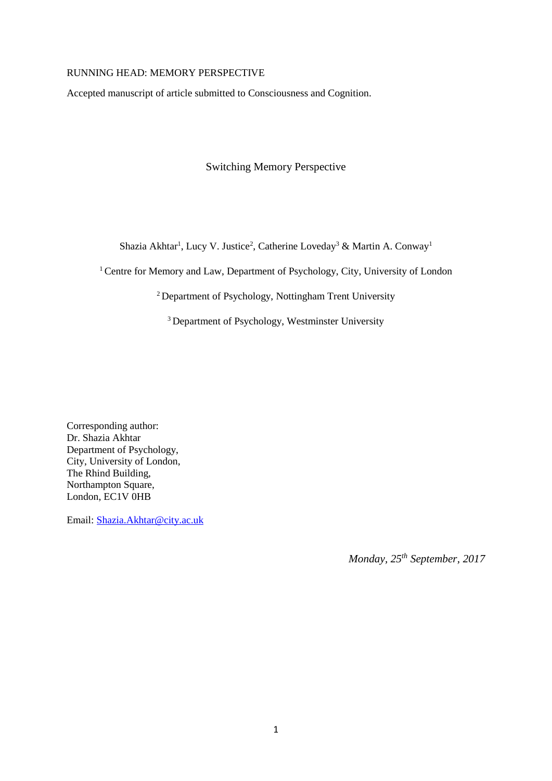#### RUNNING HEAD: MEMORY PERSPECTIVE

Accepted manuscript of article submitted to Consciousness and Cognition.

Switching Memory Perspective

Shazia Akhtar<sup>1</sup>, Lucy V. Justice<sup>2</sup>, Catherine Loveday<sup>3</sup> & Martin A. Conway<sup>1</sup>

<sup>1</sup> Centre for Memory and Law, Department of Psychology, City, University of London

<sup>2</sup> Department of Psychology, Nottingham Trent University

<sup>3</sup> Department of Psychology, Westminster University

Corresponding author: Dr. Shazia Akhtar Department of Psychology, City, University of London, The Rhind Building, Northampton Square, London, EC1V 0HB

Email: [Shazia.Akhtar@city.ac.uk](mailto:Shazia.Akhtar@city.ac.uk)

*Monday, 25th September, 2017*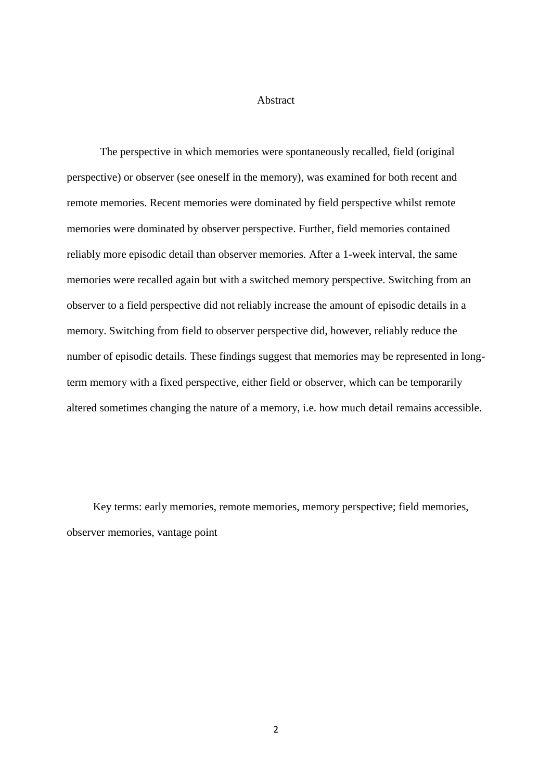### Abstract

The perspective in which memories were spontaneously recalled, field (original perspective) or observer (see oneself in the memory), was examined for both recent and remote memories. Recent memories were dominated by field perspective whilst remote memories were dominated by observer perspective. Further, field memories contained reliably more episodic detail than observer memories. After a 1-week interval, the same memories were recalled again but with a switched memory perspective. Switching from an observer to a field perspective did not reliably increase the amount of episodic details in a memory. Switching from field to observer perspective did, however, reliably reduce the number of episodic details. These findings suggest that memories may be represented in longterm memory with a fixed perspective, either field or observer, which can be temporarily altered sometimes changing the nature of a memory, i.e. how much detail remains accessible.

Key terms: early memories, remote memories, memory perspective; field memories, observer memories, vantage point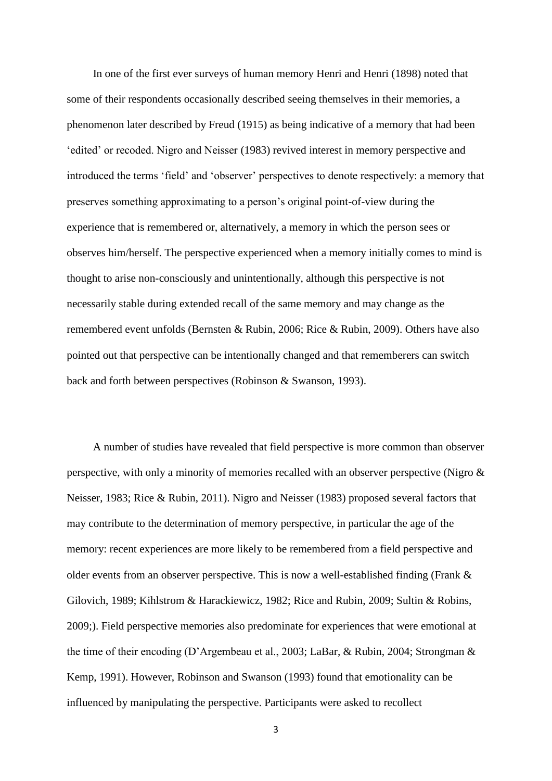In one of the first ever surveys of human memory Henri and Henri (1898) noted that some of their respondents occasionally described seeing themselves in their memories, a phenomenon later described by Freud (1915) as being indicative of a memory that had been 'edited' or recoded. Nigro and Neisser (1983) revived interest in memory perspective and introduced the terms 'field' and 'observer' perspectives to denote respectively: a memory that preserves something approximating to a person's original point-of-view during the experience that is remembered or, alternatively, a memory in which the person sees or observes him/herself. The perspective experienced when a memory initially comes to mind is thought to arise non-consciously and unintentionally, although this perspective is not necessarily stable during extended recall of the same memory and may change as the remembered event unfolds (Bernsten & Rubin, 2006; Rice & Rubin, 2009). Others have also pointed out that perspective can be intentionally changed and that rememberers can switch back and forth between perspectives (Robinson & Swanson, 1993).

A number of studies have revealed that field perspective is more common than observer perspective, with only a minority of memories recalled with an observer perspective (Nigro & Neisser, 1983; Rice & Rubin, 2011). Nigro and Neisser (1983) proposed several factors that may contribute to the determination of memory perspective, in particular the age of the memory: recent experiences are more likely to be remembered from a field perspective and older events from an observer perspective. This is now a well-established finding (Frank & Gilovich, 1989; Kihlstrom & Harackiewicz, 1982; Rice and Rubin, 2009; Sultin & Robins, 2009;). Field perspective memories also predominate for experiences that were emotional at the time of their encoding (D'Argembeau et al., 2003; LaBar, & Rubin, 2004; Strongman & Kemp, 1991). However, Robinson and Swanson (1993) found that emotionality can be influenced by manipulating the perspective. Participants were asked to recollect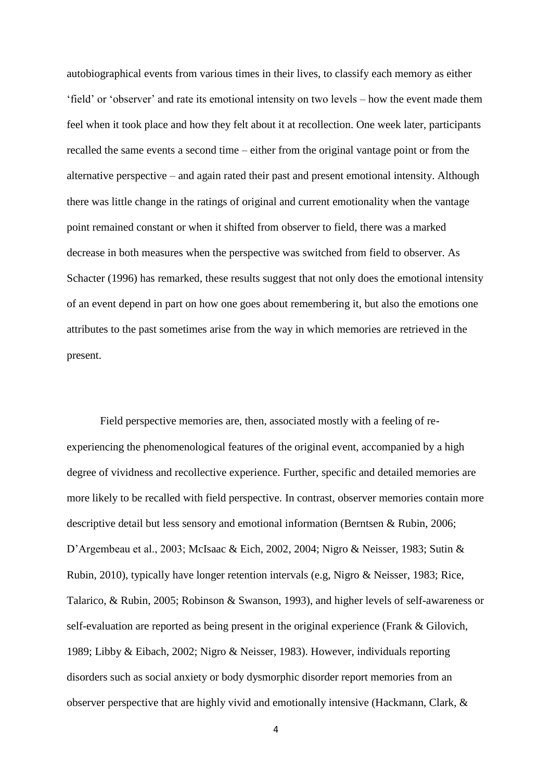autobiographical events from various times in their lives, to classify each memory as either 'field' or 'observer' and rate its emotional intensity on two levels – how the event made them feel when it took place and how they felt about it at recollection. One week later, participants recalled the same events a second time – either from the original vantage point or from the alternative perspective – and again rated their past and present emotional intensity. Although there was little change in the ratings of original and current emotionality when the vantage point remained constant or when it shifted from observer to field, there was a marked decrease in both measures when the perspective was switched from field to observer. As Schacter (1996) has remarked, these results suggest that not only does the emotional intensity of an event depend in part on how one goes about remembering it, but also the emotions one attributes to the past sometimes arise from the way in which memories are retrieved in the present.

Field perspective memories are, then, associated mostly with a feeling of reexperiencing the phenomenological features of the original event, accompanied by a high degree of vividness and recollective experience. Further, specific and detailed memories are more likely to be recalled with field perspective. In contrast, observer memories contain more descriptive detail but less sensory and emotional information (Berntsen & Rubin, 2006; D'Argembeau et al., 2003; McIsaac & Eich, 2002, 2004; Nigro & Neisser, 1983; Sutin & Rubin, 2010), typically have longer retention intervals (e.g, Nigro & Neisser, 1983; Rice, Talarico, & Rubin, 2005; Robinson & Swanson, 1993), and higher levels of self-awareness or self-evaluation are reported as being present in the original experience (Frank & Gilovich, 1989; Libby & Eibach, 2002; Nigro & Neisser, 1983). However, individuals reporting disorders such as social anxiety or body dysmorphic disorder report memories from an observer perspective that are highly vivid and emotionally intensive (Hackmann, Clark, &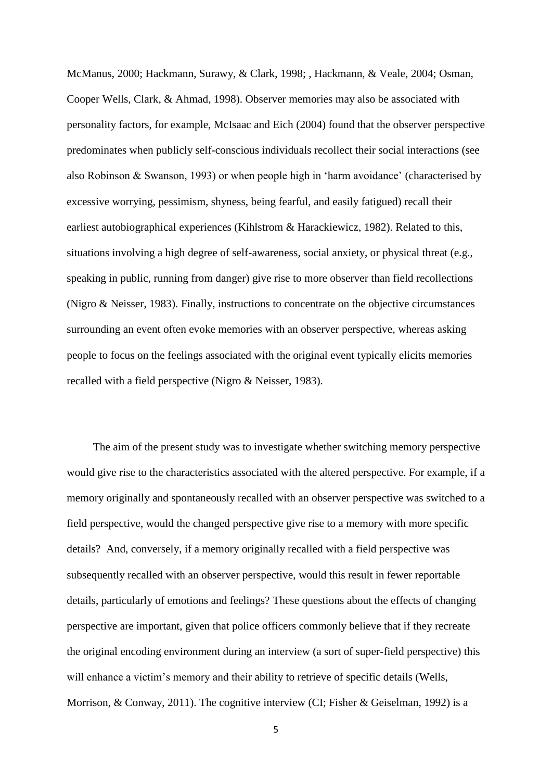McManus, 2000; Hackmann, Surawy, & Clark, 1998; , Hackmann, & Veale, 2004; Osman, Cooper Wells, Clark, & Ahmad, 1998). Observer memories may also be associated with personality factors, for example, McIsaac and Eich (2004) found that the observer perspective predominates when publicly self-conscious individuals recollect their social interactions (see also Robinson & Swanson, 1993) or when people high in 'harm avoidance' (characterised by excessive worrying, pessimism, shyness, being fearful, and easily fatigued) recall their earliest autobiographical experiences (Kihlstrom & Harackiewicz, 1982). Related to this, situations involving a high degree of self-awareness, social anxiety, or physical threat (e.g., speaking in public, running from danger) give rise to more observer than field recollections (Nigro & Neisser, 1983). Finally, instructions to concentrate on the objective circumstances surrounding an event often evoke memories with an observer perspective, whereas asking people to focus on the feelings associated with the original event typically elicits memories recalled with a field perspective (Nigro & Neisser, 1983).

The aim of the present study was to investigate whether switching memory perspective would give rise to the characteristics associated with the altered perspective. For example, if a memory originally and spontaneously recalled with an observer perspective was switched to a field perspective, would the changed perspective give rise to a memory with more specific details? And, conversely, if a memory originally recalled with a field perspective was subsequently recalled with an observer perspective, would this result in fewer reportable details, particularly of emotions and feelings? These questions about the effects of changing perspective are important, given that police officers commonly believe that if they recreate the original encoding environment during an interview (a sort of super-field perspective) this will enhance a victim's memory and their ability to retrieve of specific details (Wells, Morrison, & Conway, 2011). The cognitive interview (CI; Fisher & Geiselman, 1992) is a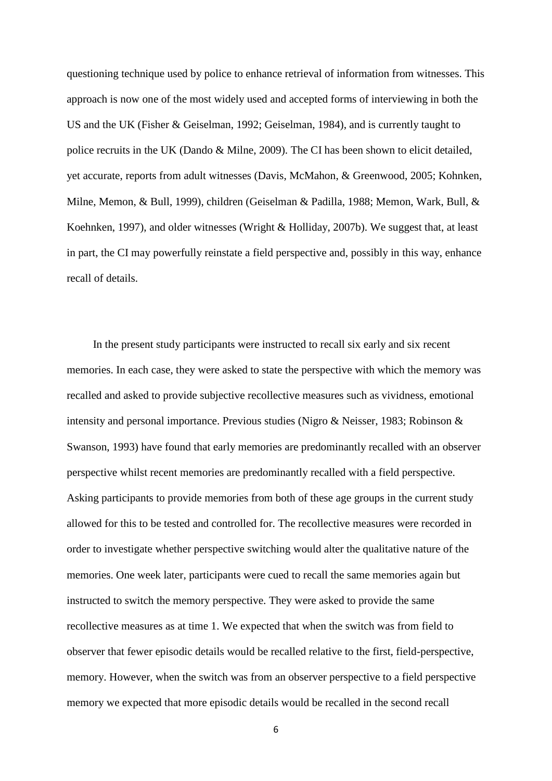questioning technique used by police to enhance retrieval of information from witnesses. This approach is now one of the most widely used and accepted forms of interviewing in both the US and the UK (Fisher & Geiselman, 1992; Geiselman, 1984), and is currently taught to police recruits in the UK (Dando & Milne, 2009). The CI has been shown to elicit detailed, yet accurate, reports from adult witnesses (Davis, McMahon, & Greenwood, 2005; Kohnken, Milne, Memon, & Bull, 1999), children (Geiselman & Padilla, 1988; Memon, Wark, Bull, & Koehnken, 1997), and older witnesses (Wright & Holliday, 2007b). We suggest that, at least in part, the CI may powerfully reinstate a field perspective and, possibly in this way, enhance recall of details.

In the present study participants were instructed to recall six early and six recent memories. In each case, they were asked to state the perspective with which the memory was recalled and asked to provide subjective recollective measures such as vividness, emotional intensity and personal importance. Previous studies (Nigro & Neisser, 1983; Robinson & Swanson, 1993) have found that early memories are predominantly recalled with an observer perspective whilst recent memories are predominantly recalled with a field perspective. Asking participants to provide memories from both of these age groups in the current study allowed for this to be tested and controlled for. The recollective measures were recorded in order to investigate whether perspective switching would alter the qualitative nature of the memories. One week later, participants were cued to recall the same memories again but instructed to switch the memory perspective. They were asked to provide the same recollective measures as at time 1. We expected that when the switch was from field to observer that fewer episodic details would be recalled relative to the first, field-perspective, memory. However, when the switch was from an observer perspective to a field perspective memory we expected that more episodic details would be recalled in the second recall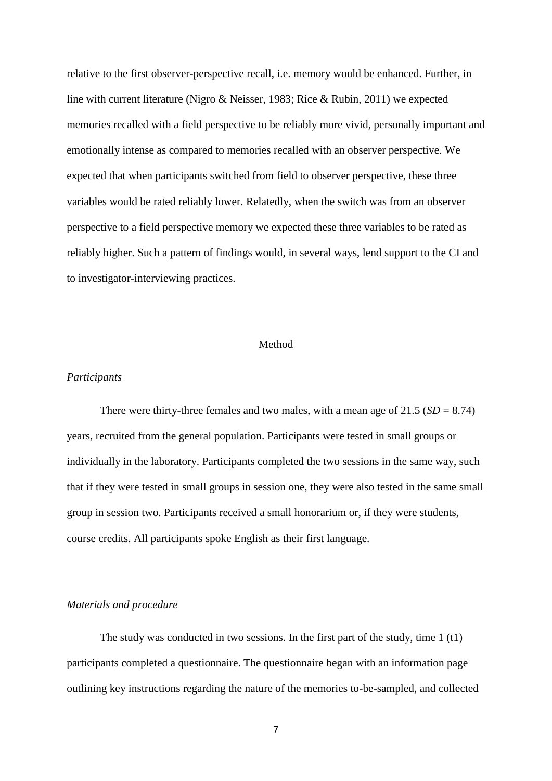relative to the first observer-perspective recall, i.e. memory would be enhanced. Further, in line with current literature (Nigro & Neisser, 1983; Rice & Rubin, 2011) we expected memories recalled with a field perspective to be reliably more vivid, personally important and emotionally intense as compared to memories recalled with an observer perspective. We expected that when participants switched from field to observer perspective, these three variables would be rated reliably lower. Relatedly, when the switch was from an observer perspective to a field perspective memory we expected these three variables to be rated as reliably higher. Such a pattern of findings would, in several ways, lend support to the CI and to investigator-interviewing practices.

### Method

### *Participants*

There were thirty-three females and two males, with a mean age of  $21.5$  ( $SD = 8.74$ ) years, recruited from the general population. Participants were tested in small groups or individually in the laboratory. Participants completed the two sessions in the same way, such that if they were tested in small groups in session one, they were also tested in the same small group in session two. Participants received a small honorarium or, if they were students, course credits. All participants spoke English as their first language.

### *Materials and procedure*

The study was conducted in two sessions. In the first part of the study, time 1 (t1) participants completed a questionnaire. The questionnaire began with an information page outlining key instructions regarding the nature of the memories to-be-sampled, and collected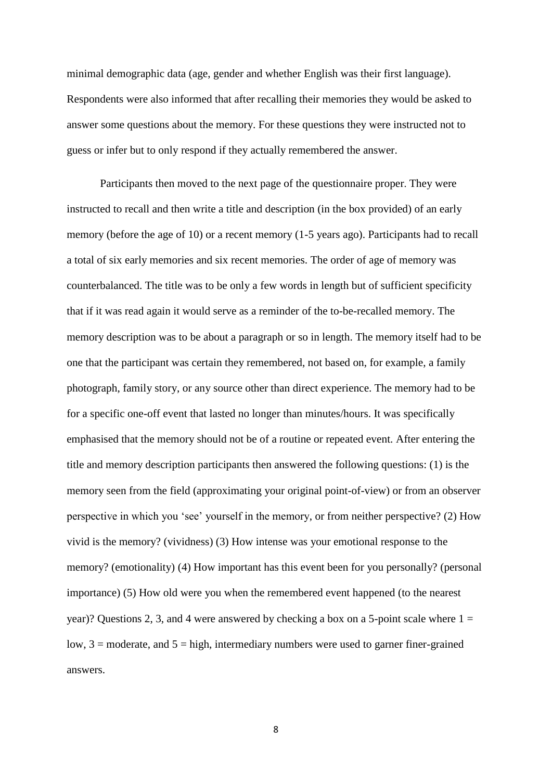minimal demographic data (age, gender and whether English was their first language). Respondents were also informed that after recalling their memories they would be asked to answer some questions about the memory. For these questions they were instructed not to guess or infer but to only respond if they actually remembered the answer.

Participants then moved to the next page of the questionnaire proper. They were instructed to recall and then write a title and description (in the box provided) of an early memory (before the age of 10) or a recent memory (1-5 years ago). Participants had to recall a total of six early memories and six recent memories. The order of age of memory was counterbalanced. The title was to be only a few words in length but of sufficient specificity that if it was read again it would serve as a reminder of the to-be-recalled memory. The memory description was to be about a paragraph or so in length. The memory itself had to be one that the participant was certain they remembered, not based on, for example, a family photograph, family story, or any source other than direct experience. The memory had to be for a specific one-off event that lasted no longer than minutes/hours. It was specifically emphasised that the memory should not be of a routine or repeated event. After entering the title and memory description participants then answered the following questions: (1) is the memory seen from the field (approximating your original point-of-view) or from an observer perspective in which you 'see' yourself in the memory, or from neither perspective? (2) How vivid is the memory? (vividness) (3) How intense was your emotional response to the memory? (emotionality) (4) How important has this event been for you personally? (personal importance) (5) How old were you when the remembered event happened (to the nearest year)? Questions 2, 3, and 4 were answered by checking a box on a 5-point scale where  $1 =$ low,  $3 =$  moderate, and  $5 =$  high, intermediary numbers were used to garner finer-grained answers.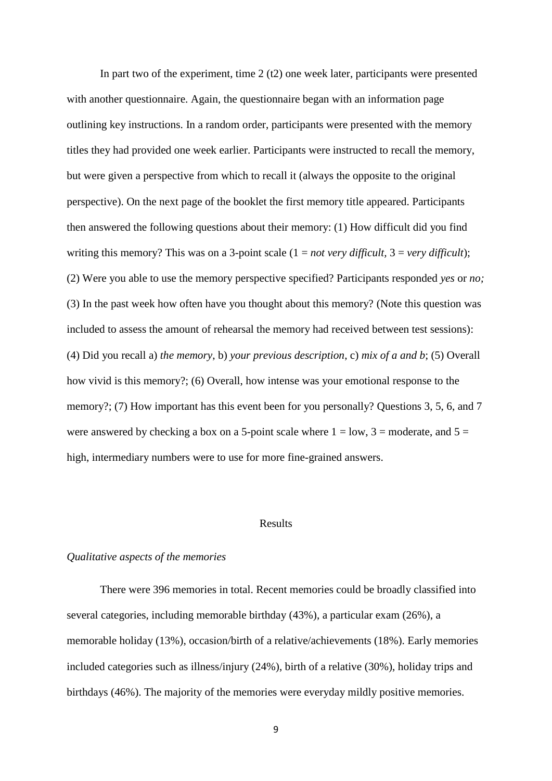In part two of the experiment, time  $2(t2)$  one week later, participants were presented with another questionnaire. Again, the questionnaire began with an information page outlining key instructions. In a random order, participants were presented with the memory titles they had provided one week earlier. Participants were instructed to recall the memory, but were given a perspective from which to recall it (always the opposite to the original perspective). On the next page of the booklet the first memory title appeared. Participants then answered the following questions about their memory: (1) How difficult did you find writing this memory? This was on a 3-point scale (1 = *not very difficult,* 3 = *very difficult*); (2) Were you able to use the memory perspective specified? Participants responded *yes* or *no;* (3) In the past week how often have you thought about this memory? (Note this question was included to assess the amount of rehearsal the memory had received between test sessions): (4) Did you recall a) *the memory*, b) *your previous description*, c) *mix of a and b*; (5) Overall how vivid is this memory?; (6) Overall, how intense was your emotional response to the memory?; (7) How important has this event been for you personally? Questions 3, 5, 6, and 7 were answered by checking a box on a 5-point scale where  $1 = low$ ,  $3 = moderate$ , and  $5 =$ high, intermediary numbers were to use for more fine-grained answers.

## Results

### *Qualitative aspects of the memories*

There were 396 memories in total. Recent memories could be broadly classified into several categories, including memorable birthday (43%), a particular exam (26%), a memorable holiday (13%), occasion/birth of a relative/achievements (18%). Early memories included categories such as illness/injury (24%), birth of a relative (30%), holiday trips and birthdays (46%). The majority of the memories were everyday mildly positive memories.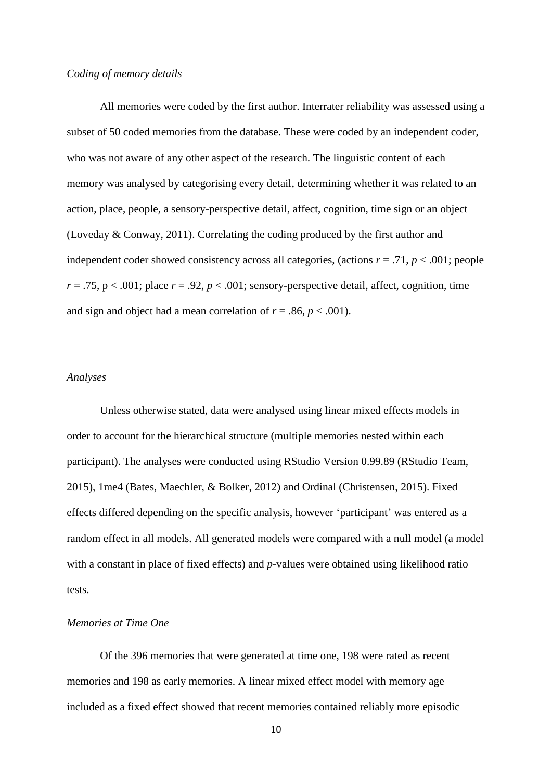### *Coding of memory details*

All memories were coded by the first author. Interrater reliability was assessed using a subset of 50 coded memories from the database. These were coded by an independent coder, who was not aware of any other aspect of the research. The linguistic content of each memory was analysed by categorising every detail, determining whether it was related to an action, place, people, a sensory-perspective detail, affect, cognition, time sign or an object (Loveday & Conway, 2011). Correlating the coding produced by the first author and independent coder showed consistency across all categories, (actions  $r = .71$ ,  $p < .001$ ; people  $r = .75$ ,  $p < .001$ ; place  $r = .92$ ,  $p < .001$ ; sensory-perspective detail, affect, cognition, time and sign and object had a mean correlation of  $r = .86$ ,  $p < .001$ ).

#### *Analyses*

Unless otherwise stated, data were analysed using linear mixed effects models in order to account for the hierarchical structure (multiple memories nested within each participant). The analyses were conducted using RStudio Version 0.99.89 (RStudio Team, 2015), 1me4 (Bates, Maechler, & Bolker, 2012) and Ordinal (Christensen, 2015). Fixed effects differed depending on the specific analysis, however 'participant' was entered as a random effect in all models. All generated models were compared with a null model (a model with a constant in place of fixed effects) and *p*-values were obtained using likelihood ratio tests.

### *Memories at Time One*

Of the 396 memories that were generated at time one, 198 were rated as recent memories and 198 as early memories. A linear mixed effect model with memory age included as a fixed effect showed that recent memories contained reliably more episodic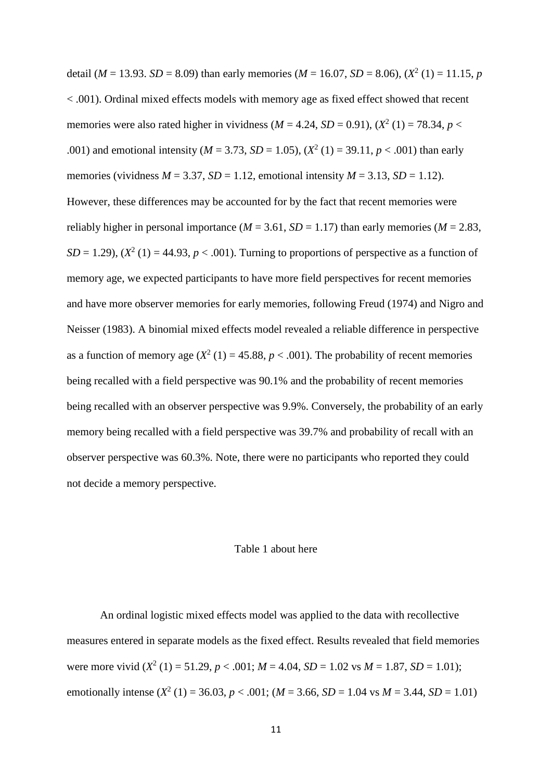detail (*M* = 13.93. *SD* = 8.09) than early memories (*M* = 16.07, *SD* = 8.06), ( $X^2$  (1) = 11.15, *p* < .001). Ordinal mixed effects models with memory age as fixed effect showed that recent memories were also rated higher in vividness ( $M = 4.24$ ,  $SD = 0.91$ ), ( $X^2$  (1) = 78.34,  $p$  < .001) and emotional intensity ( $M = 3.73$ ,  $SD = 1.05$ ), ( $X^2$  (1) = 39.11,  $p < .001$ ) than early memories (vividness  $M = 3.37$ ,  $SD = 1.12$ , emotional intensity  $M = 3.13$ ,  $SD = 1.12$ ). However, these differences may be accounted for by the fact that recent memories were reliably higher in personal importance ( $M = 3.61$ ,  $SD = 1.17$ ) than early memories ( $M = 2.83$ ,  $SD = 1.29$ ),  $(X^2(1) = 44.93, p < .001)$ . Turning to proportions of perspective as a function of memory age, we expected participants to have more field perspectives for recent memories and have more observer memories for early memories, following Freud (1974) and Nigro and Neisser (1983). A binomial mixed effects model revealed a reliable difference in perspective as a function of memory age  $(X^2(1) = 45.88, p < .001)$ . The probability of recent memories being recalled with a field perspective was 90.1% and the probability of recent memories being recalled with an observer perspective was 9.9%. Conversely, the probability of an early memory being recalled with a field perspective was 39.7% and probability of recall with an observer perspective was 60.3%. Note, there were no participants who reported they could not decide a memory perspective.

#### Table 1 about here

An ordinal logistic mixed effects model was applied to the data with recollective measures entered in separate models as the fixed effect. Results revealed that field memories were more vivid  $(X^2 (1) = 51.29, p < .001; M = 4.04, SD = 1.02$  vs  $M = 1.87, SD = 1.01$ ; emotionally intense  $(X^2 (1) = 36.03, p < .001; (M = 3.66, SD = 1.04 \text{ vs } M = 3.44, SD = 1.01)$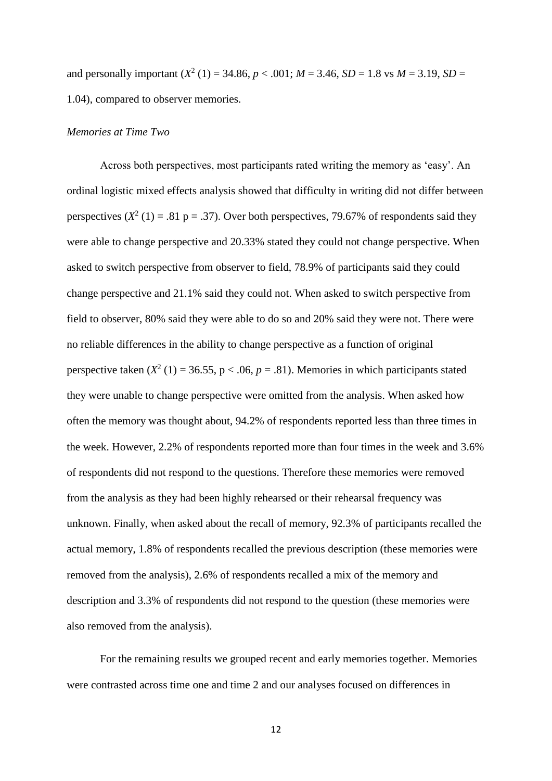and personally important  $(X^2 (1) = 34.86, p < .001; M = 3.46, SD = 1.8$  vs  $M = 3.19, SD =$ 1.04), compared to observer memories.

## *Memories at Time Two*

Across both perspectives, most participants rated writing the memory as 'easy'. An ordinal logistic mixed effects analysis showed that difficulty in writing did not differ between perspectives  $(X^2(1) = .81 \text{ p} = .37)$ . Over both perspectives, 79.67% of respondents said they were able to change perspective and 20.33% stated they could not change perspective. When asked to switch perspective from observer to field, 78.9% of participants said they could change perspective and 21.1% said they could not. When asked to switch perspective from field to observer, 80% said they were able to do so and 20% said they were not. There were no reliable differences in the ability to change perspective as a function of original perspective taken  $(X^2(1) = 36.55, p < .06, p = .81)$ . Memories in which participants stated they were unable to change perspective were omitted from the analysis. When asked how often the memory was thought about, 94.2% of respondents reported less than three times in the week. However, 2.2% of respondents reported more than four times in the week and 3.6% of respondents did not respond to the questions. Therefore these memories were removed from the analysis as they had been highly rehearsed or their rehearsal frequency was unknown. Finally, when asked about the recall of memory, 92.3% of participants recalled the actual memory, 1.8% of respondents recalled the previous description (these memories were removed from the analysis), 2.6% of respondents recalled a mix of the memory and description and 3.3% of respondents did not respond to the question (these memories were also removed from the analysis).

For the remaining results we grouped recent and early memories together. Memories were contrasted across time one and time 2 and our analyses focused on differences in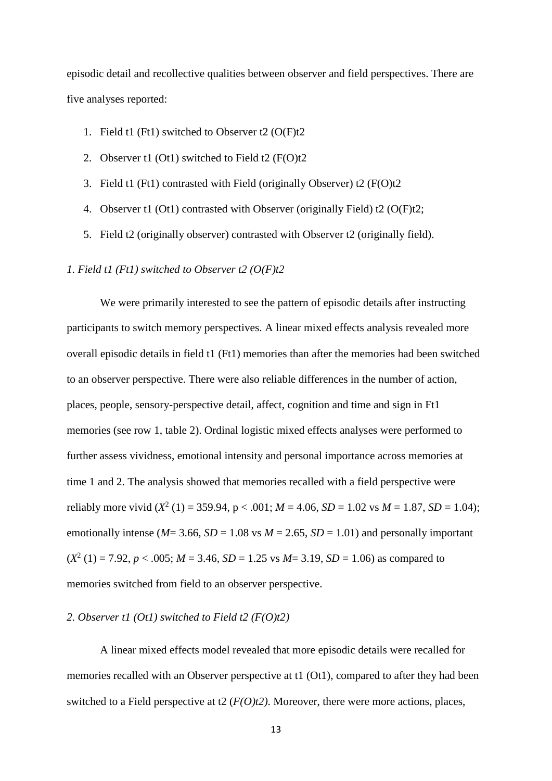episodic detail and recollective qualities between observer and field perspectives. There are five analyses reported:

- 1. Field t1 (Ft1) switched to Observer t2 (O(F)t2
- 2. Observer t1 (Ot1) switched to Field t2 (F(O)t2
- 3. Field t1 (Ft1) contrasted with Field (originally Observer) t2 (F(O)t2
- 4. Observer t1 (Ot1) contrasted with Observer (originally Field) t2 (O(F)t2;
- 5. Field t2 (originally observer) contrasted with Observer t2 (originally field).

### *1. Field t1 (Ft1) switched to Observer t2 (O(F)t2*

We were primarily interested to see the pattern of episodic details after instructing participants to switch memory perspectives. A linear mixed effects analysis revealed more overall episodic details in field t1 (Ft1) memories than after the memories had been switched to an observer perspective. There were also reliable differences in the number of action, places, people, sensory-perspective detail, affect, cognition and time and sign in Ft1 memories (see row 1, table 2). Ordinal logistic mixed effects analyses were performed to further assess vividness, emotional intensity and personal importance across memories at time 1 and 2. The analysis showed that memories recalled with a field perspective were reliably more vivid  $(X^2 (1) = 359.94, p < .001; M = 4.06, SD = 1.02$  vs  $M = 1.87, SD = 1.04$ ; emotionally intense ( $M = 3.66$ ,  $SD = 1.08$  vs  $M = 2.65$ ,  $SD = 1.01$ ) and personally important  $(X^2 (1) = 7.92, p < .005; M = 3.46, SD = 1.25$  vs  $M = 3.19, SD = 1.06$ ) as compared to memories switched from field to an observer perspective.

### *2. Observer t1 (Ot1) switched to Field t2 (F(O)t2)*

A linear mixed effects model revealed that more episodic details were recalled for memories recalled with an Observer perspective at t1 (Ot1), compared to after they had been switched to a Field perspective at t2 (*F(O)t2)*. Moreover, there were more actions, places,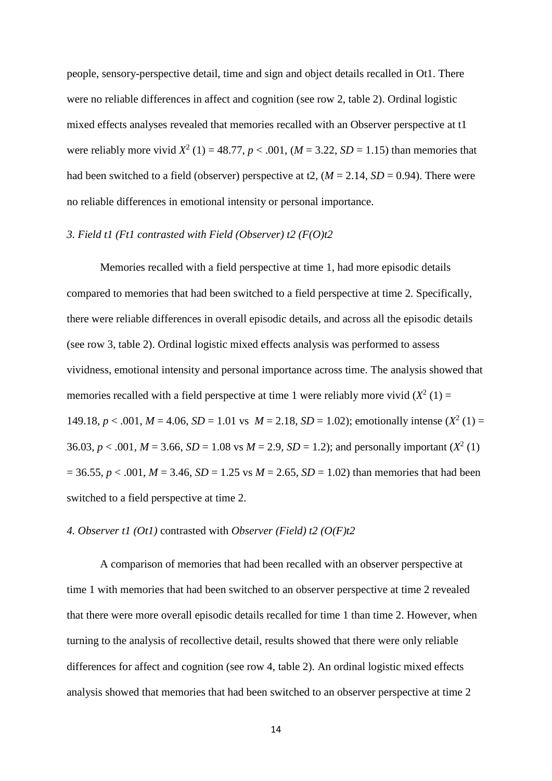people, sensory-perspective detail, time and sign and object details recalled in Ot1. There were no reliable differences in affect and cognition (see row 2, table 2). Ordinal logistic mixed effects analyses revealed that memories recalled with an Observer perspective at t1 were reliably more vivid  $X^2$  (1) = 48.77,  $p < .001$ , ( $M = 3.22$ ,  $SD = 1.15$ ) than memories that had been switched to a field (observer) perspective at t2,  $(M = 2.14, SD = 0.94)$ . There were no reliable differences in emotional intensity or personal importance.

### *3. Field t1 (Ft1 contrasted with Field (Observer) t2 (F(O)t2*

Memories recalled with a field perspective at time 1, had more episodic details compared to memories that had been switched to a field perspective at time 2. Specifically, there were reliable differences in overall episodic details, and across all the episodic details (see row 3, table 2). Ordinal logistic mixed effects analysis was performed to assess vividness, emotional intensity and personal importance across time. The analysis showed that memories recalled with a field perspective at time 1 were reliably more vivid  $(X^2(1) =$ 149.18,  $p < .001$ ,  $M = 4.06$ ,  $SD = 1.01$  vs  $M = 2.18$ ,  $SD = 1.02$ ); emotionally intense  $(X^2(1) =$ 36.03,  $p < .001$ ,  $M = 3.66$ ,  $SD = 1.08$  vs  $M = 2.9$ ,  $SD = 1.2$ ); and personally important ( $X^2(1)$ )  $= 36.55, p < .001, M = 3.46, SD = 1.25$  vs  $M = 2.65, SD = 1.02$ ) than memories that had been switched to a field perspective at time 2.

#### *4. Observer t1 (Ot1)* contrasted with *Observer (Field) t2 (O(F)t2*

A comparison of memories that had been recalled with an observer perspective at time 1 with memories that had been switched to an observer perspective at time 2 revealed that there were more overall episodic details recalled for time 1 than time 2. However, when turning to the analysis of recollective detail, results showed that there were only reliable differences for affect and cognition (see row 4, table 2). An ordinal logistic mixed effects analysis showed that memories that had been switched to an observer perspective at time 2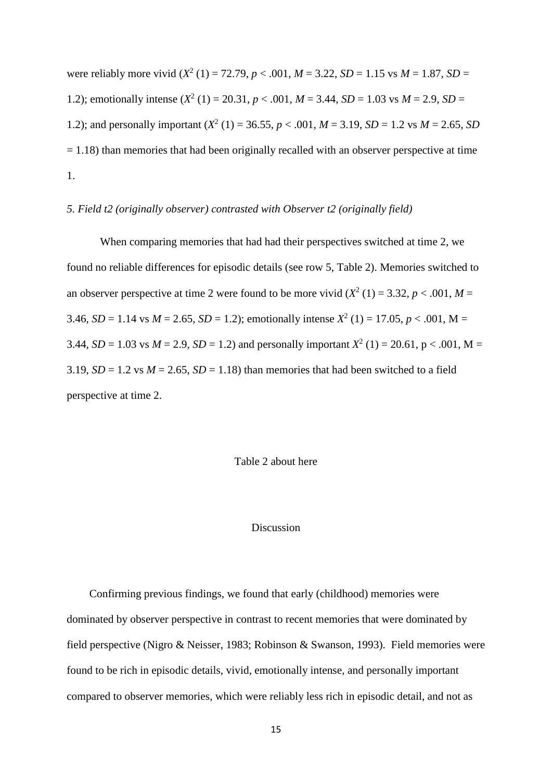were reliably more vivid  $(X^2 (1) = 72.79, p < .001, M = 3.22, SD = 1.15$  vs  $M = 1.87, SD =$ 1.2); emotionally intense  $(X^2(1) = 20.31, p < .001, M = 3.44, SD = 1.03$  vs  $M = 2.9, SD =$ 1.2); and personally important  $(X^2 (1) = 36.55, p < .001, M = 3.19, SD = 1.2$  vs  $M = 2.65, SD$  $= 1.18$ ) than memories that had been originally recalled with an observer perspective at time 1.

### *5. Field t2 (originally observer) contrasted with Observer t2 (originally field)*

When comparing memories that had had their perspectives switched at time 2, we found no reliable differences for episodic details (see row 5, Table 2). Memories switched to an observer perspective at time 2 were found to be more vivid  $(X^2(1) = 3.32, p < .001, M =$ 3.46, *SD* = 1.14 vs *M* = 2.65, *SD* = 1.2); emotionally intense  $X^2$  (1) = 17.05, *p* < .001, M = 3.44, *SD* = 1.03 vs *M* = 2.9, *SD* = 1.2) and personally important  $X^2$  (1) = 20.61, p < .001, M = 3.19,  $SD = 1.2$  vs  $M = 2.65$ ,  $SD = 1.18$ ) than memories that had been switched to a field perspective at time 2.

## Table 2 about here

### Discussion

Confirming previous findings, we found that early (childhood) memories were dominated by observer perspective in contrast to recent memories that were dominated by field perspective (Nigro & Neisser, 1983; Robinson & Swanson, 1993). Field memories were found to be rich in episodic details, vivid, emotionally intense, and personally important compared to observer memories, which were reliably less rich in episodic detail, and not as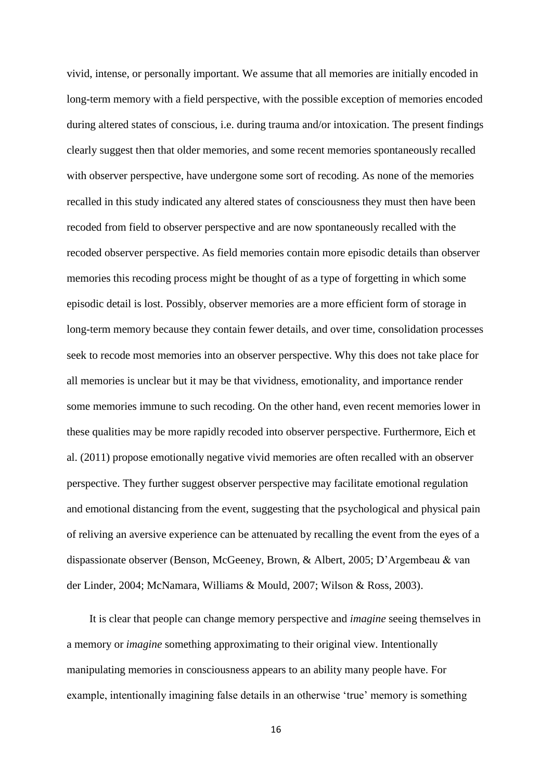vivid, intense, or personally important. We assume that all memories are initially encoded in long-term memory with a field perspective, with the possible exception of memories encoded during altered states of conscious, i.e. during trauma and/or intoxication. The present findings clearly suggest then that older memories, and some recent memories spontaneously recalled with observer perspective, have undergone some sort of recoding. As none of the memories recalled in this study indicated any altered states of consciousness they must then have been recoded from field to observer perspective and are now spontaneously recalled with the recoded observer perspective. As field memories contain more episodic details than observer memories this recoding process might be thought of as a type of forgetting in which some episodic detail is lost. Possibly, observer memories are a more efficient form of storage in long-term memory because they contain fewer details, and over time, consolidation processes seek to recode most memories into an observer perspective. Why this does not take place for all memories is unclear but it may be that vividness, emotionality, and importance render some memories immune to such recoding. On the other hand, even recent memories lower in these qualities may be more rapidly recoded into observer perspective. Furthermore, Eich et al. (2011) propose emotionally negative vivid memories are often recalled with an observer perspective. They further suggest observer perspective may facilitate emotional regulation and emotional distancing from the event, suggesting that the psychological and physical pain of reliving an aversive experience can be attenuated by recalling the event from the eyes of a dispassionate observer (Benson, McGeeney, Brown, & Albert, 2005; D'Argembeau & van der Linder, 2004; McNamara, Williams & Mould, 2007; Wilson & Ross, 2003).

It is clear that people can change memory perspective and *imagine* seeing themselves in a memory or *imagine* something approximating to their original view. Intentionally manipulating memories in consciousness appears to an ability many people have. For example, intentionally imagining false details in an otherwise 'true' memory is something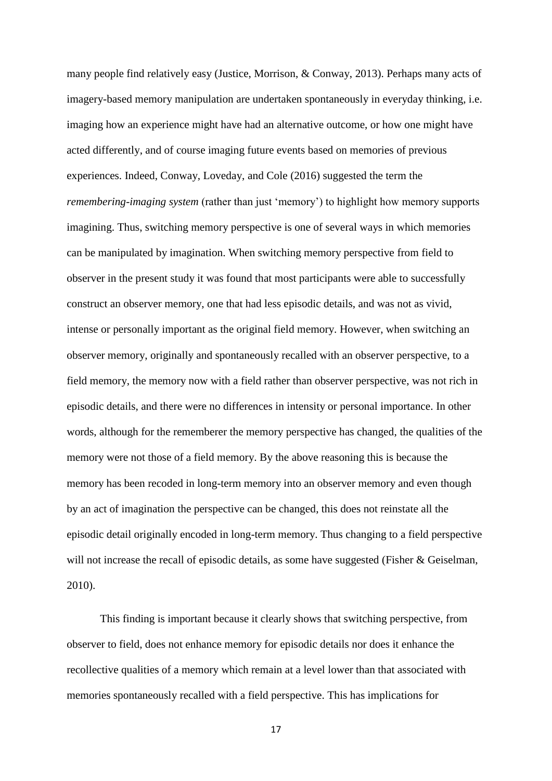many people find relatively easy (Justice, Morrison, & Conway, 2013). Perhaps many acts of imagery-based memory manipulation are undertaken spontaneously in everyday thinking, i.e. imaging how an experience might have had an alternative outcome, or how one might have acted differently, and of course imaging future events based on memories of previous experiences. Indeed, Conway, Loveday, and Cole (2016) suggested the term the *remembering-imaging system* (rather than just 'memory') to highlight how memory supports imagining. Thus, switching memory perspective is one of several ways in which memories can be manipulated by imagination. When switching memory perspective from field to observer in the present study it was found that most participants were able to successfully construct an observer memory, one that had less episodic details, and was not as vivid, intense or personally important as the original field memory. However, when switching an observer memory, originally and spontaneously recalled with an observer perspective, to a field memory, the memory now with a field rather than observer perspective, was not rich in episodic details, and there were no differences in intensity or personal importance. In other words, although for the rememberer the memory perspective has changed, the qualities of the memory were not those of a field memory. By the above reasoning this is because the memory has been recoded in long-term memory into an observer memory and even though by an act of imagination the perspective can be changed, this does not reinstate all the episodic detail originally encoded in long-term memory. Thus changing to a field perspective will not increase the recall of episodic details, as some have suggested (Fisher & Geiselman, 2010).

This finding is important because it clearly shows that switching perspective, from observer to field, does not enhance memory for episodic details nor does it enhance the recollective qualities of a memory which remain at a level lower than that associated with memories spontaneously recalled with a field perspective. This has implications for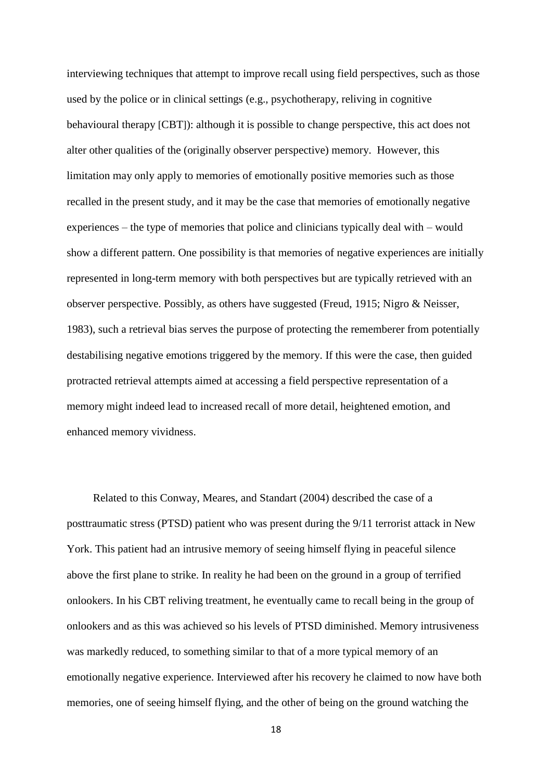interviewing techniques that attempt to improve recall using field perspectives, such as those used by the police or in clinical settings (e.g., psychotherapy, reliving in cognitive behavioural therapy [CBT]): although it is possible to change perspective, this act does not alter other qualities of the (originally observer perspective) memory. However, this limitation may only apply to memories of emotionally positive memories such as those recalled in the present study, and it may be the case that memories of emotionally negative experiences – the type of memories that police and clinicians typically deal with – would show a different pattern. One possibility is that memories of negative experiences are initially represented in long-term memory with both perspectives but are typically retrieved with an observer perspective. Possibly, as others have suggested (Freud, 1915; Nigro & Neisser, 1983), such a retrieval bias serves the purpose of protecting the rememberer from potentially destabilising negative emotions triggered by the memory. If this were the case, then guided protracted retrieval attempts aimed at accessing a field perspective representation of a memory might indeed lead to increased recall of more detail, heightened emotion, and enhanced memory vividness.

Related to this Conway, Meares, and Standart (2004) described the case of a posttraumatic stress (PTSD) patient who was present during the 9/11 terrorist attack in New York. This patient had an intrusive memory of seeing himself flying in peaceful silence above the first plane to strike. In reality he had been on the ground in a group of terrified onlookers. In his CBT reliving treatment, he eventually came to recall being in the group of onlookers and as this was achieved so his levels of PTSD diminished. Memory intrusiveness was markedly reduced, to something similar to that of a more typical memory of an emotionally negative experience. Interviewed after his recovery he claimed to now have both memories, one of seeing himself flying, and the other of being on the ground watching the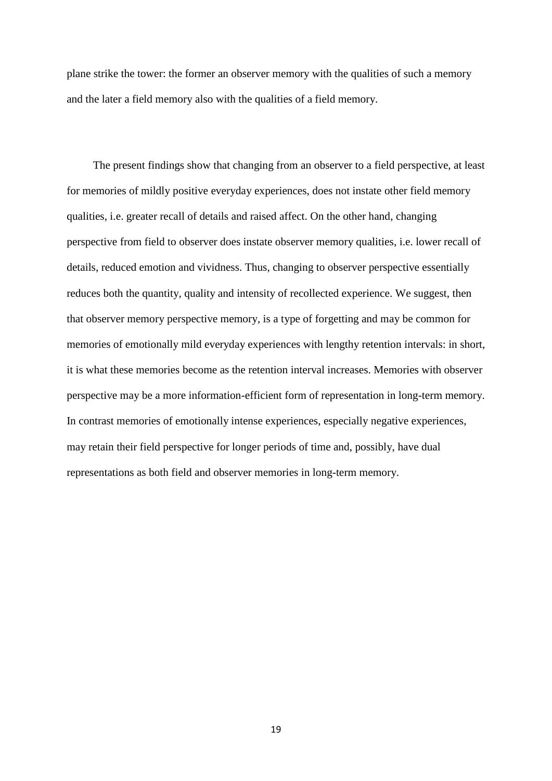plane strike the tower: the former an observer memory with the qualities of such a memory and the later a field memory also with the qualities of a field memory.

The present findings show that changing from an observer to a field perspective, at least for memories of mildly positive everyday experiences, does not instate other field memory qualities, i.e. greater recall of details and raised affect. On the other hand, changing perspective from field to observer does instate observer memory qualities, i.e. lower recall of details, reduced emotion and vividness. Thus, changing to observer perspective essentially reduces both the quantity, quality and intensity of recollected experience. We suggest, then that observer memory perspective memory, is a type of forgetting and may be common for memories of emotionally mild everyday experiences with lengthy retention intervals: in short, it is what these memories become as the retention interval increases. Memories with observer perspective may be a more information-efficient form of representation in long-term memory. In contrast memories of emotionally intense experiences, especially negative experiences, may retain their field perspective for longer periods of time and, possibly, have dual representations as both field and observer memories in long-term memory.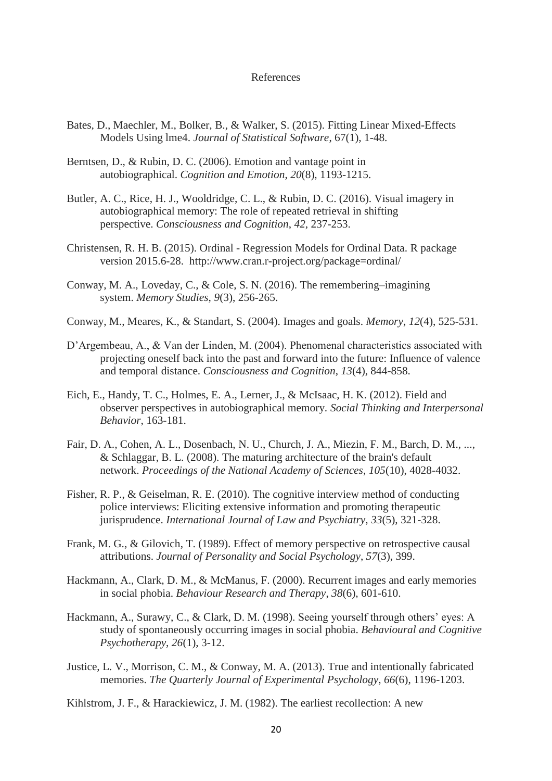### References

- Bates, D., Maechler, M., Bolker, B., & Walker, S. (2015). Fitting Linear Mixed-Effects Models Using lme4. *Journal of Statistical Software*, 67(1), 1-48.
- Berntsen, D., & Rubin, D. C. (2006). Emotion and vantage point in autobiographical. *Cognition and Emotion*, *20*(8), 1193-1215.
- Butler, A. C., Rice, H. J., Wooldridge, C. L., & Rubin, D. C. (2016). Visual imagery in autobiographical memory: The role of repeated retrieval in shifting perspective. *Consciousness and Cognition*, *42*, 237-253.
- Christensen, R. H. B. (2015). Ordinal Regression Models for Ordinal Data. R package version 2015.6-28. http://www.cran.r-project.org/package=ordinal/
- Conway, M. A., Loveday, C., & Cole, S. N. (2016). The remembering–imagining system. *Memory Studies*, *9*(3), 256-265.
- Conway, M., Meares, K., & Standart, S. (2004). Images and goals. *Memory*, *12*(4), 525-531.
- D'Argembeau, A., & Van der Linden, M. (2004). Phenomenal characteristics associated with projecting oneself back into the past and forward into the future: Influence of valence and temporal distance. *Consciousness and Cognition*, *13*(4), 844-858.
- Eich, E., Handy, T. C., Holmes, E. A., Lerner, J., & McIsaac, H. K. (2012). Field and observer perspectives in autobiographical memory. *Social Thinking and Interpersonal Behavior*, 163-181.
- Fair, D. A., Cohen, A. L., Dosenbach, N. U., Church, J. A., Miezin, F. M., Barch, D. M., ..., & Schlaggar, B. L. (2008). The maturing architecture of the brain's default network. *Proceedings of the National Academy of Sciences*, *105*(10), 4028-4032.
- Fisher, R. P., & Geiselman, R. E. (2010). The cognitive interview method of conducting police interviews: Eliciting extensive information and promoting therapeutic jurisprudence. *International Journal of Law and Psychiatry*, *33*(5), 321-328.
- Frank, M. G., & Gilovich, T. (1989). Effect of memory perspective on retrospective causal attributions. *Journal of Personality and Social Psychology*, *57*(3), 399.
- Hackmann, A., Clark, D. M., & McManus, F. (2000). Recurrent images and early memories in social phobia. *Behaviour Research and Therapy*, *38*(6), 601-610.
- Hackmann, A., Surawy, C., & Clark, D. M. (1998). Seeing yourself through others' eyes: A study of spontaneously occurring images in social phobia. *Behavioural and Cognitive Psychotherapy*, *26*(1), 3-12.
- Justice, L. V., Morrison, C. M., & Conway, M. A. (2013). True and intentionally fabricated memories. *The Quarterly Journal of Experimental Psychology*, *66*(6), 1196-1203.
- Kihlstrom, J. F., & Harackiewicz, J. M. (1982). The earliest recollection: A new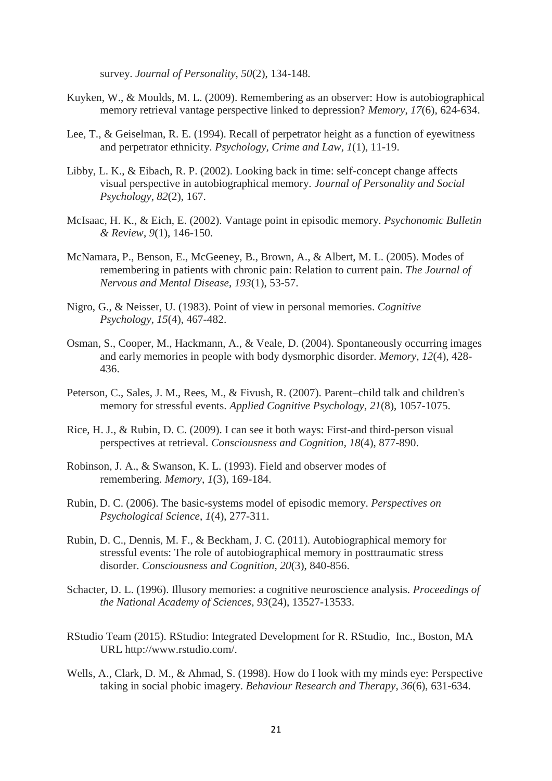survey. *Journal of Personality*, *50*(2), 134-148.

- Kuyken, W., & Moulds, M. L. (2009). Remembering as an observer: How is autobiographical memory retrieval vantage perspective linked to depression? *Memory*, *17*(6), 624-634.
- Lee, T., & Geiselman, R. E. (1994). Recall of perpetrator height as a function of eyewitness and perpetrator ethnicity. *Psychology, Crime and Law*, *1*(1), 11-19.
- Libby, L. K., & Eibach, R. P. (2002). Looking back in time: self-concept change affects visual perspective in autobiographical memory. *Journal of Personality and Social Psychology*, *82*(2), 167.
- McIsaac, H. K., & Eich, E. (2002). Vantage point in episodic memory. *Psychonomic Bulletin & Review*, *9*(1), 146-150.
- McNamara, P., Benson, E., McGeeney, B., Brown, A., & Albert, M. L. (2005). Modes of remembering in patients with chronic pain: Relation to current pain. *The Journal of Nervous and Mental Disease*, *193*(1), 53-57.
- Nigro, G., & Neisser, U. (1983). Point of view in personal memories. *Cognitive Psychology*, *15*(4), 467-482.
- Osman, S., Cooper, M., Hackmann, A., & Veale, D. (2004). Spontaneously occurring images and early memories in people with body dysmorphic disorder. *Memory*, *12*(4), 428- 436.
- Peterson, C., Sales, J. M., Rees, M., & Fivush, R. (2007). Parent–child talk and children's memory for stressful events. *Applied Cognitive Psychology*, *21*(8), 1057-1075.
- Rice, H. J., & Rubin, D. C. (2009). I can see it both ways: First-and third-person visual perspectives at retrieval. *Consciousness and Cognition*, *18*(4), 877-890.
- Robinson, J. A., & Swanson, K. L. (1993). Field and observer modes of remembering. *Memory*, *1*(3), 169-184.
- Rubin, D. C. (2006). The basic-systems model of episodic memory. *Perspectives on Psychological Science*, *1*(4), 277-311.
- Rubin, D. C., Dennis, M. F., & Beckham, J. C. (2011). Autobiographical memory for stressful events: The role of autobiographical memory in posttraumatic stress disorder. *Consciousness and Cognition*, *20*(3), 840-856.
- Schacter, D. L. (1996). Illusory memories: a cognitive neuroscience analysis. *Proceedings of the National Academy of Sciences*, *93*(24), 13527-13533.
- RStudio Team (2015). RStudio: Integrated Development for R. RStudio, Inc., Boston, MA URL http://www.rstudio.com/.
- Wells, A., Clark, D. M., & Ahmad, S. (1998). How do I look with my minds eye: Perspective taking in social phobic imagery. *Behaviour Research and Therapy*, *36*(6), 631-634.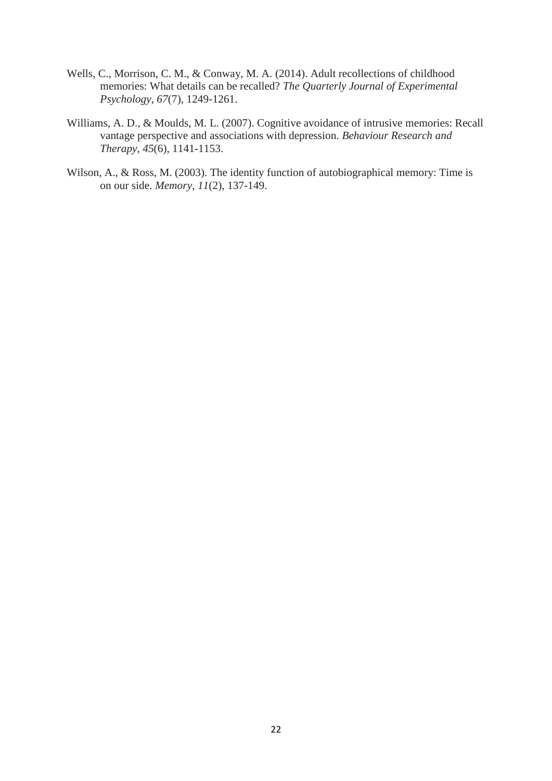- Wells, C., Morrison, C. M., & Conway, M. A. (2014). Adult recollections of childhood memories: What details can be recalled? *The Quarterly Journal of Experimental Psychology*, *67*(7), 1249-1261.
- Williams, A. D., & Moulds, M. L. (2007). Cognitive avoidance of intrusive memories: Recall vantage perspective and associations with depression. *Behaviour Research and Therapy*, *45*(6), 1141-1153.
- Wilson, A., & Ross, M. (2003). The identity function of autobiographical memory: Time is on our side. *Memory*, *11*(2), 137-149.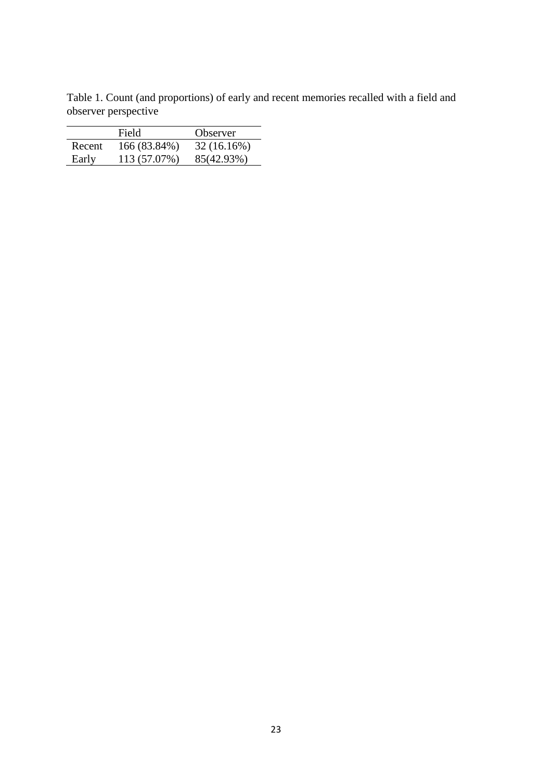Table 1. Count (and proportions) of early and recent memories recalled with a field and observer perspective

|        | Field        | Observer   |
|--------|--------------|------------|
| Recent | 166 (83.84%) | 32(16.16%) |
| Early  | 113 (57.07%) | 85(42.93%) |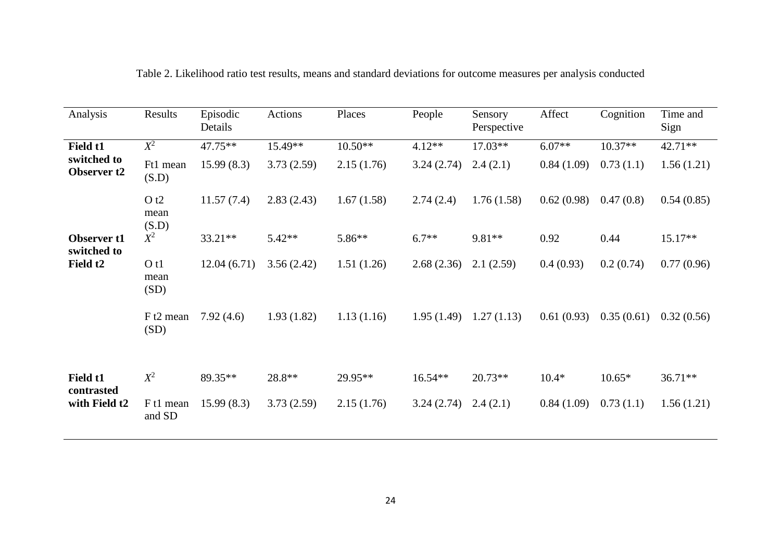| Analysis                                      | Results                        | Episodic<br>Details | Actions    | Places     | People     | Sensory<br>Perspective | Affect     | Cognition  | Time and<br>Sign |
|-----------------------------------------------|--------------------------------|---------------------|------------|------------|------------|------------------------|------------|------------|------------------|
| Field t1<br>switched to<br><b>Observer t2</b> | $X^2$                          | $47.75**$           | 15.49**    | $10.50**$  | $4.12**$   | $17.03**$              | $6.07**$   | $10.37**$  | $42.71**$        |
|                                               | Ft1 mean<br>(S.D)              | 15.99(8.3)          | 3.73(2.59) | 2.15(1.76) | 3.24(2.74) | 2.4(2.1)               | 0.84(1.09) | 0.73(1.1)  | 1.56(1.21)       |
|                                               | O t2<br>mean<br>(S.D)          | 11.57(7.4)          | 2.83(2.43) | 1.67(1.58) | 2.74(2.4)  | 1.76(1.58)             | 0.62(0.98) | 0.47(0.8)  | 0.54(0.85)       |
| <b>Observer t1</b><br>switched to             | $X^2$                          | $33.21**$           | $5.42**$   | 5.86**     | $6.7**$    | 9.81**                 | 0.92       | 0.44       | $15.17**$        |
| Field t <sub>2</sub>                          | O t1<br>mean<br>(SD)           | 12.04(6.71)         | 3.56(2.42) | 1.51(1.26) | 2.68(2.36) | 2.1(2.59)              | 0.4(0.93)  | 0.2(0.74)  | 0.77(0.96)       |
|                                               | F t2 mean<br>(SD)              | 7.92(4.6)           | 1.93(1.82) | 1.13(1.16) | 1.95(1.49) | 1.27(1.13)             | 0.61(0.93) | 0.35(0.61) | 0.32(0.56)       |
| Field t1<br>contrasted<br>with Field t2       | $X^2$                          | 89.35**             | 28.8**     | 29.95**    | $16.54**$  | $20.73**$              | $10.4*$    | $10.65*$   | $36.71**$        |
|                                               | F <sub>t1</sub> mean<br>and SD | 15.99(8.3)          | 3.73(2.59) | 2.15(1.76) | 3.24(2.74) | 2.4(2.1)               | 0.84(1.09) | 0.73(1.1)  | 1.56(1.21)       |

Table 2. Likelihood ratio test results, means and standard deviations for outcome measures per analysis conducted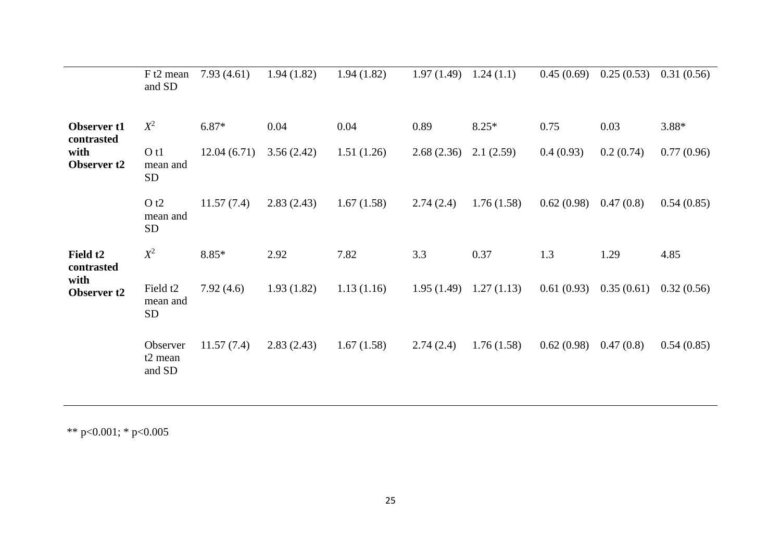|                                      | F t2 mean<br>and SD                           | 7.93(4.61)  | 1.94(1.82) | 1.94(1.82) | 1.97(1.49) | 1.24(1.1)  | 0.45(0.69) | 0.25(0.53) | 0.31(0.56) |
|--------------------------------------|-----------------------------------------------|-------------|------------|------------|------------|------------|------------|------------|------------|
| Observer <sub>t1</sub><br>contrasted | $X^2$                                         | 6.87*       | 0.04       | 0.04       | 0.89       | $8.25*$    | 0.75       | 0.03       | $3.88*$    |
| with<br><b>Observer t2</b>           | O t1<br>mean and<br><b>SD</b>                 | 12.04(6.71) | 3.56(2.42) | 1.51(1.26) | 2.68(2.36) | 2.1(2.59)  | 0.4(0.93)  | 0.2(0.74)  | 0.77(0.96) |
|                                      | O t2<br>mean and<br><b>SD</b>                 | 11.57(7.4)  | 2.83(2.43) | 1.67(1.58) | 2.74(2.4)  | 1.76(1.58) | 0.62(0.98) | 0.47(0.8)  | 0.54(0.85) |
| Field t <sub>2</sub><br>contrasted   | $X^2$                                         | 8.85*       | 2.92       | 7.82       | 3.3        | 0.37       | 1.3        | 1.29       | 4.85       |
| with<br><b>Observer t2</b>           | Field t <sub>2</sub><br>mean and<br><b>SD</b> | 7.92(4.6)   | 1.93(1.82) | 1.13(1.16) | 1.95(1.49) | 1.27(1.13) | 0.61(0.93) | 0.35(0.61) | 0.32(0.56) |
|                                      | Observer<br>t <sub>2</sub> mean<br>and SD     | 11.57(7.4)  | 2.83(2.43) | 1.67(1.58) | 2.74(2.4)  | 1.76(1.58) | 0.62(0.98) | 0.47(0.8)  | 0.54(0.85) |

\*\* p<0.001; \* p<0.005